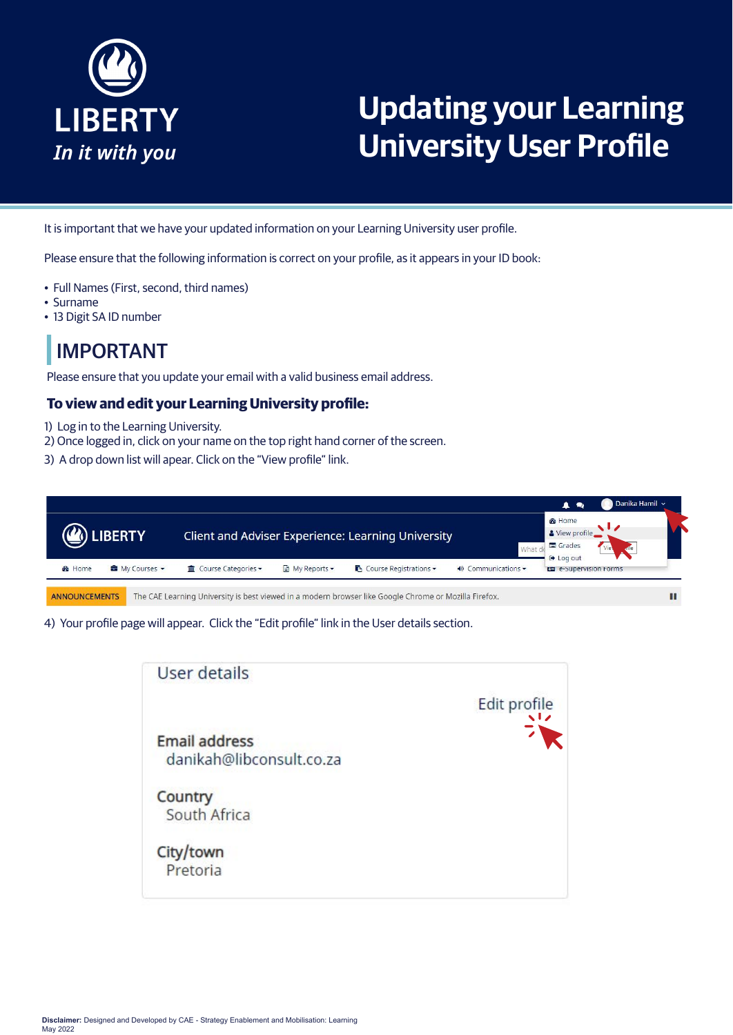

# **Updating your Learning University User Profile**

It is important that we have your updated information on your Learning University user profile.

Please ensure that the following information is correct on your profile, as it appears in your ID book:

- Full Names (First, second, third names)
- Surname
- 13 Digit SA ID number

### IMPORTANT

Please ensure that you update your email with a valid business email address.

#### **To view and edit your Learning University profile:**

- 1) Log in to the Learning University.
- 2) Once logged in, click on your name on the top right hand corner of the screen.
- 3) A drop down list will apear. Click on the "View profile" link.



4) Your profile page will appear. Click the "Edit profile" link in the User details section.